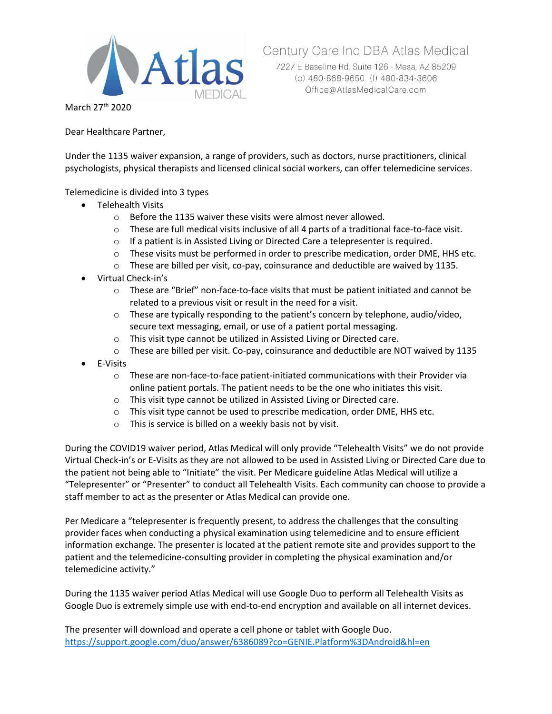

7227 E Baseline Rd. Suite 126 - Mesa, AZ 85209

Century Care Inc DBA Atlas Medical

March 27th 2020

Dear Healthcare Partner,

Under the 1135 waiver expansion, a range of providers, such as doctors, nurse practitioners, clinical psychologists, physical therapists and licensed clinical social workers, can offer telemedicine services.

### Telemedicine is divided into 3 types

- Telehealth Visits
	- o Before the 1135 waiver these visits were almost never allowed.
	- $\circ$  These are full medical visits inclusive of all 4 parts of a traditional face-to-face visit.
	- o If a patient is in Assisted Living or Directed Care a telepresenter is required.
	- $\circ$  These visits must be performed in order to prescribe medication, order DME, HHS etc.
	- o These are billed per visit, co-pay, coinsurance and deductible are waived by 1135.
- Virtual Check-in's
	- $\circ$  These are "Brief" non-face-to-face visits that must be patient initiated and cannot be related to a previous visit or result in the need for a visit.
	- $\circ$  These are typically responding to the patient's concern by telephone, audio/video, secure text messaging, email, or use of a patient portal messaging.
	- o This visit type cannot be utilized in Assisted Living or Directed care.
	- $\circ$  These are billed per visit. Co-pay, coinsurance and deductible are NOT waived by 1135
- E-Visits
	- $\circ$  These are non-face-to-face patient-initiated communications with their Provider via online patient portals. The patient needs to be the one who initiates this visit.
	- o This visit type cannot be utilized in Assisted Living or Directed care.
	- o This visit type cannot be used to prescribe medication, order DME, HHS etc.
	- o This is service is billed on a weekly basis not by visit.

During the COVID19 waiver period, Atlas Medical will only provide "Telehealth Visits" we do not provide Virtual Check-in's or E-Visits as they are not allowed to be used in Assisted Living or Directed Care due to the patient not being able to "Initiate" the visit. Per Medicare guideline Atlas Medical will utilize a "Telepresenter" or "Presenter" to conduct all Telehealth Visits. Each community can choose to provide a staff member to act as the presenter or Atlas Medical can provide one.

Per Medicare a "telepresenter is frequently present, to address the challenges that the consulting provider faces when conducting a physical examination using telemedicine and to ensure efficient information exchange. The presenter is located at the patient remote site and provides support to the patient and the telemedicine-consulting provider in completing the physical examination and/or telemedicine activity."

During the 1135 waiver period Atlas Medical will use Google Duo to perform all Telehealth Visits as Google Duo is extremely simple use with end-to-end encryption and available on all internet devices.

The presenter will download and operate a cell phone or tablet with Google Duo. <https://support.google.com/duo/answer/6386089?co=GENIE.Platform%3DAndroid&hl=en>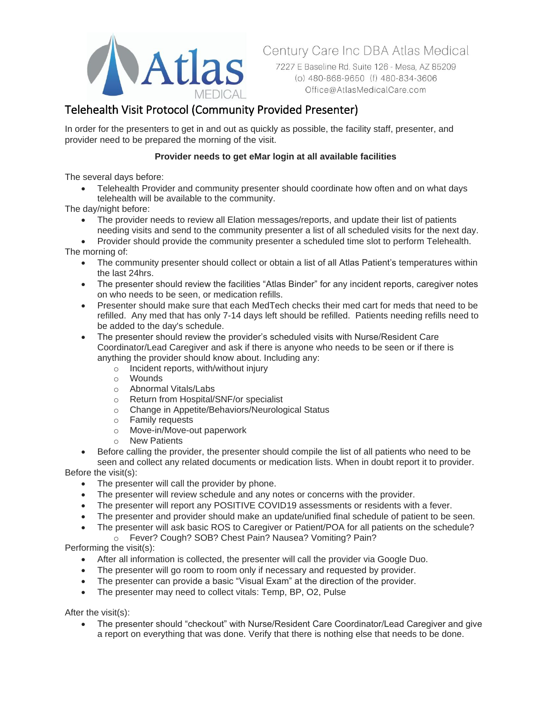

Century Care Inc DBA Atlas Medical

7227 E Baseline Rd. Suite 126 - Mesa, AZ 85209 (o) 480-868-9650 (f) 480-834-3606 Office@AtlasMedicalCare.com

# Telehealth Visit Protocol (Community Provided Presenter)

In order for the presenters to get in and out as quickly as possible, the facility staff, presenter, and provider need to be prepared the morning of the visit.

## **Provider needs to get eMar login at all available facilities**

The several days before:

• Telehealth Provider and community presenter should coordinate how often and on what days telehealth will be available to the community.

The day/night before:

• The provider needs to review all Elation messages/reports, and update their list of patients needing visits and send to the community presenter a list of all scheduled visits for the next day.

• Provider should provide the community presenter a scheduled time slot to perform Telehealth. The morning of:

- The community presenter should collect or obtain a list of all Atlas Patient's temperatures within the last 24hrs.
- The presenter should review the facilities "Atlas Binder" for any incident reports, caregiver notes on who needs to be seen, or medication refills.
- Presenter should make sure that each MedTech checks their med cart for meds that need to be refilled. Any med that has only 7-14 days left should be refilled. Patients needing refills need to be added to the day's schedule.
- The presenter should review the provider's scheduled visits with Nurse/Resident Care Coordinator/Lead Caregiver and ask if there is anyone who needs to be seen or if there is anything the provider should know about. Including any:
	- o Incident reports, with/without injury
	- o Wounds
	- o Abnormal Vitals/Labs
	- o Return from Hospital/SNF/or specialist
	- o Change in Appetite/Behaviors/Neurological Status
	- o Family requests
	- o Move-in/Move-out paperwork
	- o New Patients
- Before calling the provider, the presenter should compile the list of all patients who need to be seen and collect any related documents or medication lists. When in doubt report it to provider.

Before the visit(s):

- The presenter will call the provider by phone.
- The presenter will review schedule and any notes or concerns with the provider.
- The presenter will report any POSITIVE COVID19 assessments or residents with a fever.
- The presenter and provider should make an update/unified final schedule of patient to be seen.
- The presenter will ask basic ROS to Caregiver or Patient/POA for all patients on the schedule?
- o Fever? Cough? SOB? Chest Pain? Nausea? Vomiting? Pain?

Performing the visit(s):

- After all information is collected, the presenter will call the provider via Google Duo.
- The presenter will go room to room only if necessary and requested by provider.
- The presenter can provide a basic "Visual Exam" at the direction of the provider.
- The presenter may need to collect vitals: Temp, BP, O2, Pulse

After the visit(s):

• The presenter should "checkout" with Nurse/Resident Care Coordinator/Lead Caregiver and give a report on everything that was done. Verify that there is nothing else that needs to be done.